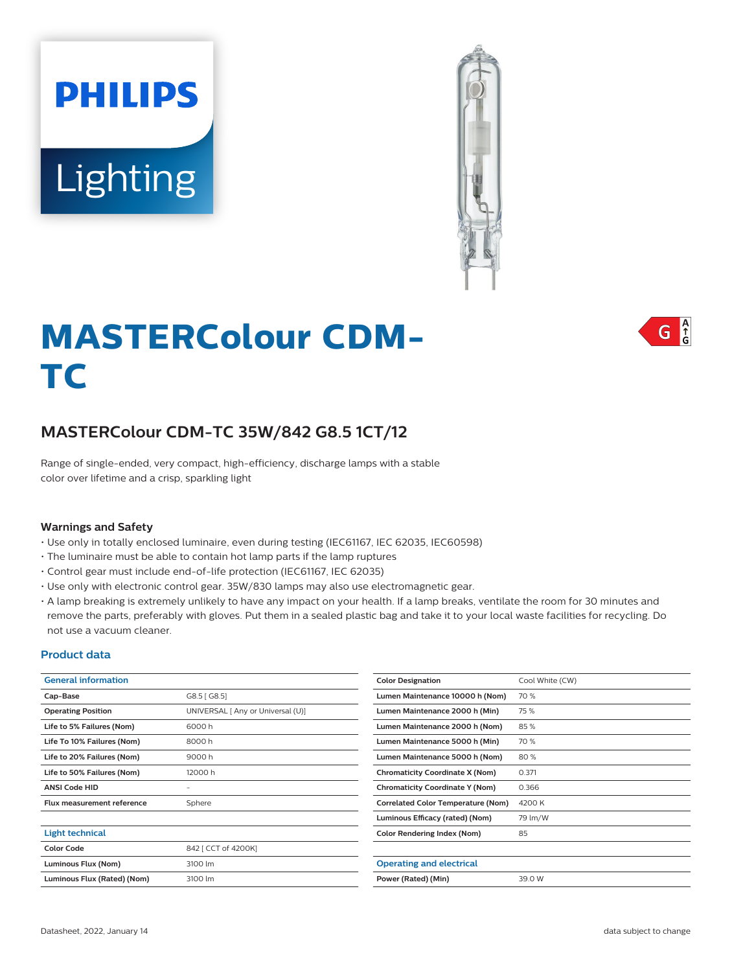# **Lighting**

**PHILIPS** 



# **MASTERColour CDM-TC**

# **MASTERColour CDM-TC 35W/842 G8.5 1CT/12**

Range of single-ended, very compact, high-efficiency, discharge lamps with a stable color over lifetime and a crisp, sparkling light

#### **Warnings and Safety**

- Use only in totally enclosed luminaire, even during testing (IEC61167, IEC 62035, IEC60598)
- The luminaire must be able to contain hot lamp parts if the lamp ruptures
- Control gear must include end-of-life protection (IEC61167, IEC 62035)
- Use only with electronic control gear. 35W/830 lamps may also use electromagnetic gear.
- A lamp breaking is extremely unlikely to have any impact on your health. If a lamp breaks, ventilate the room for 30 minutes and remove the parts, preferably with gloves. Put them in a sealed plastic bag and take it to your local waste facilities for recycling. Do not use a vacuum cleaner.

#### **Product data**

| <b>General information</b>        |                                   | <b>Color Designation</b>                  | Cool White (CW) |
|-----------------------------------|-----------------------------------|-------------------------------------------|-----------------|
| Cap-Base                          | G8.5 [G8.5]                       | Lumen Maintenance 10000 h (Nom)           | 70 %            |
| <b>Operating Position</b>         | UNIVERSAL [ Any or Universal (U)] | Lumen Maintenance 2000 h (Min)            | 75 %            |
| Life to 5% Failures (Nom)         | 6000h                             | Lumen Maintenance 2000 h (Nom)            | 85%             |
| Life To 10% Failures (Nom)        | 8000h                             | Lumen Maintenance 5000 h (Min)            | 70 %            |
| Life to 20% Failures (Nom)        | 9000h                             | Lumen Maintenance 5000 h (Nom)            | 80%             |
| Life to 50% Failures (Nom)        | 12000h                            | <b>Chromaticity Coordinate X (Nom)</b>    | 0.371           |
| <b>ANSI Code HID</b>              | -                                 | <b>Chromaticity Coordinate Y (Nom)</b>    | 0.366           |
| <b>Flux measurement reference</b> | Sphere                            | <b>Correlated Color Temperature (Nom)</b> | 4200 K          |
|                                   |                                   | Luminous Efficacy (rated) (Nom)           | 79 lm/W         |
| <b>Light technical</b>            |                                   | <b>Color Rendering Index (Nom)</b>        | 85              |
| <b>Color Code</b>                 | 842 [ CCT of 4200K]               |                                           |                 |
| Luminous Flux (Nom)               | 3100 lm                           | <b>Operating and electrical</b>           |                 |
| Luminous Flux (Rated) (Nom)       | 3100 lm                           | Power (Rated) (Min)                       | 39.0 W          |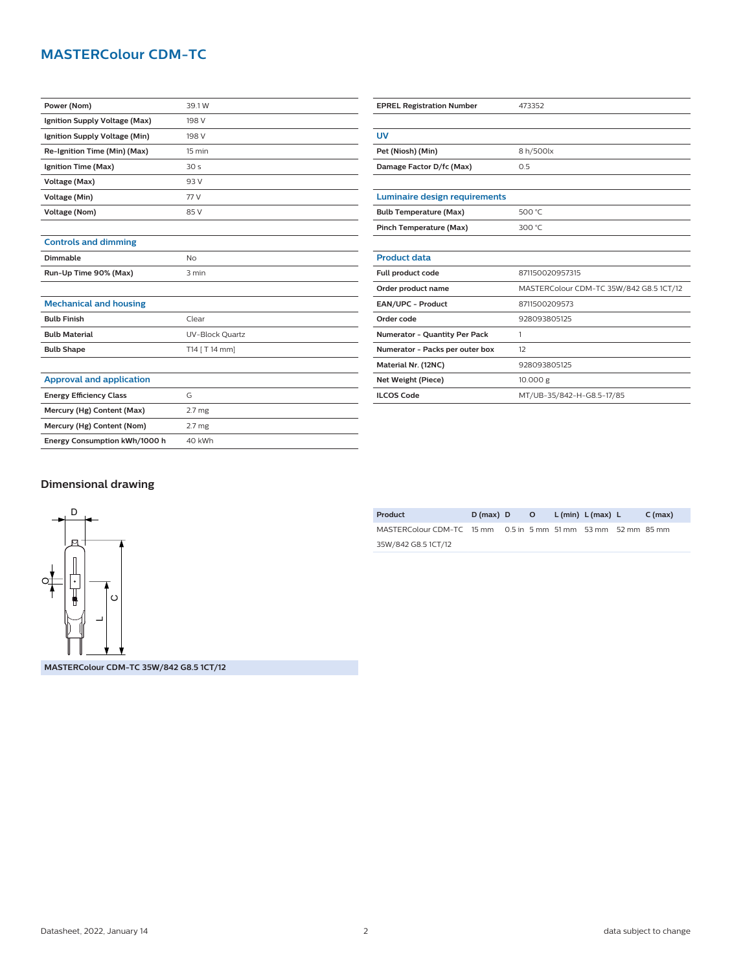# **MASTERColour CDM-TC**

| Power (Nom)                     | 39.1 W            |  |  |  |
|---------------------------------|-------------------|--|--|--|
| Ignition Supply Voltage (Max)   | 198 V             |  |  |  |
| Ignition Supply Voltage (Min)   | 198 V             |  |  |  |
| Re-Ignition Time (Min) (Max)    | 15 min            |  |  |  |
| Ignition Time (Max)             | 30 <sub>s</sub>   |  |  |  |
| Voltage (Max)                   | 93 V              |  |  |  |
| Voltage (Min)                   | 77 V              |  |  |  |
| <b>Voltage (Nom)</b>            | 85 V              |  |  |  |
|                                 |                   |  |  |  |
| <b>Controls and dimming</b>     |                   |  |  |  |
| Dimmable                        | <b>No</b>         |  |  |  |
| Run-Up Time 90% (Max)           | 3 min             |  |  |  |
|                                 |                   |  |  |  |
| <b>Mechanical and housing</b>   |                   |  |  |  |
| <b>Bulb Finish</b>              | Clear             |  |  |  |
| <b>Bulb Material</b>            | UV-Block Quartz   |  |  |  |
| <b>Bulb Shape</b>               | T14 [ T 14 mm]    |  |  |  |
|                                 |                   |  |  |  |
| <b>Approval and application</b> |                   |  |  |  |
| <b>Energy Efficiency Class</b>  | G                 |  |  |  |
| Mercury (Hg) Content (Max)      | 2.7 <sub>mg</sub> |  |  |  |
| Mercury (Hg) Content (Nom)      | 2.7 <sub>mg</sub> |  |  |  |
| Energy Consumption kWh/1000 h   | 40 kWh            |  |  |  |

| <b>EPREL Registration Number</b>     | 473352                                  |  |  |  |
|--------------------------------------|-----------------------------------------|--|--|--|
|                                      |                                         |  |  |  |
| UV                                   |                                         |  |  |  |
| Pet (Niosh) (Min)                    | 8 h/500lx                               |  |  |  |
| Damage Factor D/fc (Max)             | 0.5                                     |  |  |  |
|                                      |                                         |  |  |  |
| Luminaire design requirements        |                                         |  |  |  |
| <b>Bulb Temperature (Max)</b>        | 500 °C                                  |  |  |  |
| Pinch Temperature (Max)              | 300 °C                                  |  |  |  |
|                                      |                                         |  |  |  |
| <b>Product data</b>                  |                                         |  |  |  |
| Full product code                    | 871150020957315                         |  |  |  |
| Order product name                   | MASTERColour CDM-TC 35W/842 G8.5 1CT/12 |  |  |  |
| EAN/UPC - Product                    | 8711500209573                           |  |  |  |
| Order code                           | 928093805125                            |  |  |  |
| <b>Numerator - Quantity Per Pack</b> | 1                                       |  |  |  |
| Numerator - Packs per outer box      | 12                                      |  |  |  |
| Material Nr. (12NC)                  | 928093805125                            |  |  |  |
| Net Weight (Piece)                   | 10.000 g                                |  |  |  |
| <b>ILCOS Code</b>                    | MT/UB-35/842-H-G8.5-17/85               |  |  |  |

### **Dimensional drawing**



**MASTERColour CDM-TC 35W/842 G8.5 1CT/12**

| Product                                                       | $D(max)$ D | $\overline{\phantom{a}}$ o | L (min) L (max) L | C (max) |
|---------------------------------------------------------------|------------|----------------------------|-------------------|---------|
| MASTERColour CDM-TC 15 mm 0.5 in 5 mm 51 mm 53 mm 52 mm 85 mm |            |                            |                   |         |
| 35W/842 G8.5 1CT/12                                           |            |                            |                   |         |